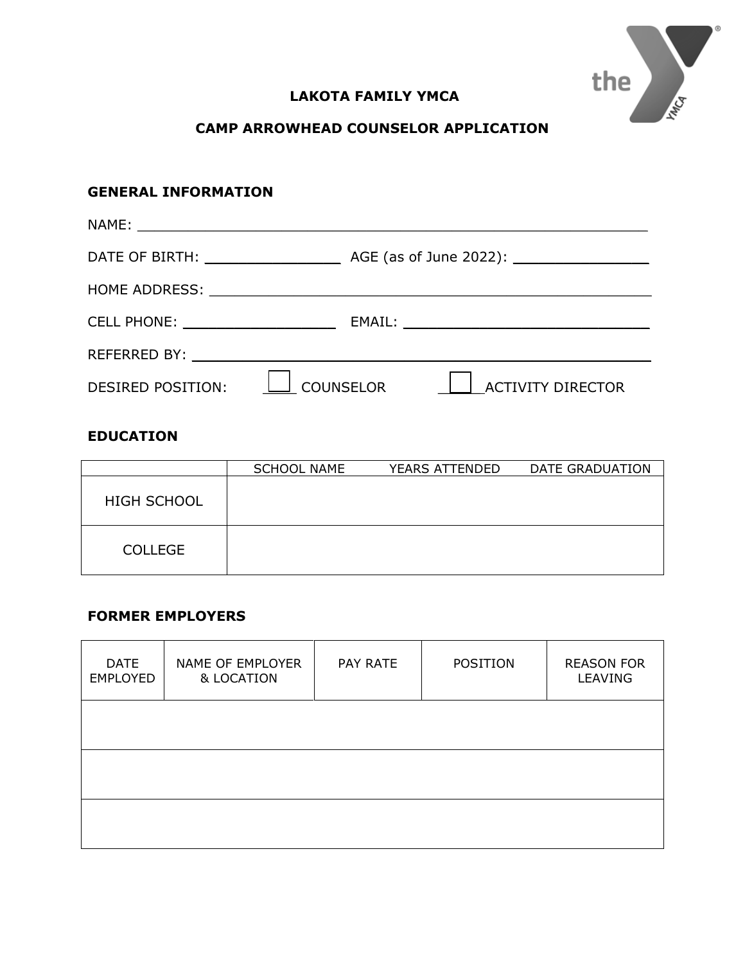

# **LAKOTA FAMILY YMCA**

## **CAMP ARROWHEAD COUNSELOR APPLICATION**

# **GENERAL INFORMATION** NAME: \_\_\_\_\_\_\_\_\_\_\_\_\_\_\_\_\_\_\_\_\_\_\_\_\_\_\_\_\_\_\_\_\_\_\_\_\_\_\_\_\_\_\_\_\_\_\_\_\_\_\_\_\_\_\_\_\_\_\_\_ DATE OF BIRTH: \_\_\_\_\_\_\_\_\_\_\_\_\_\_\_\_ AGE (as of June 2022): \_\_\_\_\_\_\_\_\_\_\_\_\_\_\_\_ HOME ADDRESS: \_\_\_\_\_\_\_\_\_\_\_\_\_\_\_\_\_\_\_\_\_\_\_\_\_\_\_\_\_\_\_\_\_\_\_\_\_\_\_\_\_\_\_\_\_\_\_\_\_\_\_\_ CELL PHONE: \_\_\_\_\_\_\_\_\_\_\_\_\_\_\_\_\_\_ EMAIL: \_\_\_\_\_\_\_\_\_\_\_\_\_\_\_\_\_\_\_\_\_\_\_\_\_\_\_\_\_ REFERRED BY: \_\_\_\_\_\_\_\_\_\_\_\_\_\_\_\_\_\_\_\_\_\_\_\_\_\_\_\_\_\_\_\_\_\_\_\_\_\_\_\_\_\_\_\_\_\_\_\_\_\_\_\_\_\_ DESIRED POSITION:  $\boxed{\phantom{\cdot\phantom{\cdot}}\phantom{\cdot}}\phantom{\cdot\phantom{\cdot}}}\phantom{\cdot\phantom{\cdot}}$  COUNSELOR  $\phantom{\cdot\phantom{\cdot}}\phantom{\cdot}\phantom{\cdot}\phantom{\cdot}\phantom{\cdot}\phantom{\cdot}\phantom{\cdot}\phantom{\cdot}\phantom{\cdot}$  ACTIVITY DIRECTOR

#### **EDUCATION**

|                    | <b>SCHOOL NAME</b> | YEARS ATTENDED | DATE GRADUATION |
|--------------------|--------------------|----------------|-----------------|
| <b>HIGH SCHOOL</b> |                    |                |                 |
| <b>COLLEGE</b>     |                    |                |                 |

### **FORMER EMPLOYERS**

| <b>DATE</b><br><b>EMPLOYED</b> | NAME OF EMPLOYER<br>& LOCATION | PAY RATE | POSITION | <b>REASON FOR</b><br><b>LEAVING</b> |
|--------------------------------|--------------------------------|----------|----------|-------------------------------------|
|                                |                                |          |          |                                     |
|                                |                                |          |          |                                     |
|                                |                                |          |          |                                     |